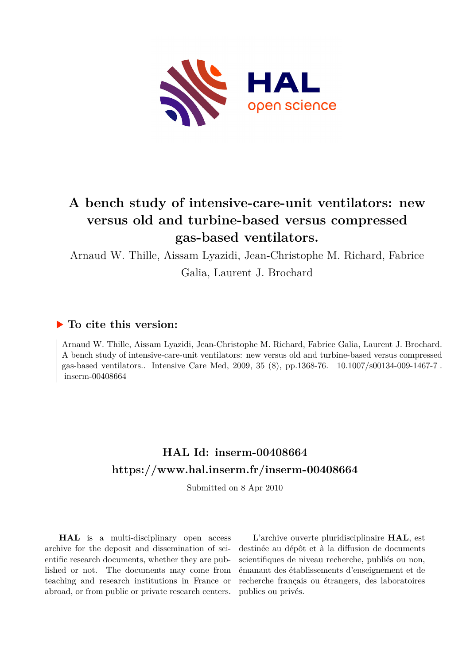

# **A bench study of intensive-care-unit ventilators: new versus old and turbine-based versus compressed gas-based ventilators.**

Arnaud W. Thille, Aissam Lyazidi, Jean-Christophe M. Richard, Fabrice

Galia, Laurent J. Brochard

# **To cite this version:**

Arnaud W. Thille, Aissam Lyazidi, Jean-Christophe M. Richard, Fabrice Galia, Laurent J. Brochard. A bench study of intensive-care-unit ventilators: new versus old and turbine-based versus compressed gas-based ventilators.. Intensive Care Med, 2009, 35 (8), pp.1368-76. 10.1007/s00134-009-1467-7.  $inserm-00408664$ 

# **HAL Id: inserm-00408664 <https://www.hal.inserm.fr/inserm-00408664>**

Submitted on 8 Apr 2010

**HAL** is a multi-disciplinary open access archive for the deposit and dissemination of scientific research documents, whether they are published or not. The documents may come from teaching and research institutions in France or abroad, or from public or private research centers.

L'archive ouverte pluridisciplinaire **HAL**, est destinée au dépôt et à la diffusion de documents scientifiques de niveau recherche, publiés ou non, émanant des établissements d'enseignement et de recherche français ou étrangers, des laboratoires publics ou privés.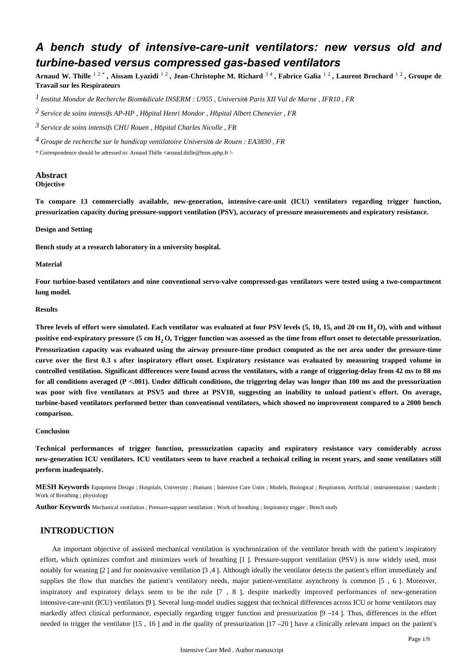# *A bench study of intensive-care-unit ventilators: new versus old and turbine-based versus compressed gas-based ventilators*

**Arnaud W. Thille** 1 2 \* **, Aissam Lyazidi** 1 2 **, Jean-Christophe M. Richard** 3 4 **, Fabrice Galia** 1 2 **, Laurent Brochard** 1 2 **, Groupe de Travail sur les Respirateurs**

*Institut Mondor de Recherche Biom dicale 1* <sup>é</sup> *INSERM : U955 , Universit*é *Paris XII Val de Marne , IFR10 , FR*

*Service de soins intensifs 2 AP-HP , H*ô*pital Henri Mondor , H*ô*pital Albert Chenevier , FR*

*Service de soins intensifs 3 CHU Rouen , H*ô*pital Charles Nicolle , FR*

*Groupe de recherche sur le handicap ventilatoire 4 Universit*é *de Rouen : EA3830 , FR*

\* Correspondence should be adressed to: Arnaud Thille <arnaud.thille@hmn.aphp.fr >

#### **Abstract Objective**

**To compare 13 commercially available, new-generation, intensive-care-unit (ICU) ventilators regarding trigger function, pressurization capacity during pressure-support ventilation (PSV), accuracy of pressure measurements and expiratory resistance.**

#### **Design and Setting**

**Bench study at a research laboratory in a university hospital.**

#### **Material**

**Four turbine-based ventilators and nine conventional servo-valve compressed-gas ventilators were tested using a two-compartment lung model.**

## **Results**

**Three levels of effort were simulated. Each ventilator was evaluated at four PSV levels (5, 10, 15, and 20 cm H O), with and without <sup>2</sup> positive end-expiratory pressure (5 cm H O, Trigger function was assessed as the time from effort onset to detectable pressurization. <sup>2</sup> Pressurization capacity was evaluated using the airway pressure-time product computed as the net area under the pressure-time curve over the first 0.3 s after inspiratory effort onset. Expiratory resistance was evaluated by measuring trapped volume in controlled ventilation. Significant differences were found across the ventilators, with a range of triggering-delay from 42 ms to 88 ms for all conditions averaged (P <.001). Under difficult conditions, the triggering delay was longer than 100 ms and the pressurization was poor with five ventilators at PSV5 and three at PSV10, suggesting an inability to unload patient**'**s effort. On average, turbine-based ventilators performed better than conventional ventilators, which showed no improvement compared to a 2000 bench comparison.**

#### **Conclusion**

**Technical performances of trigger function, pressurization capacity and expiratory resistance vary considerably across new-generation ICU ventilators. ICU ventilators seem to have reached a technical ceiling in recent years, and some ventilators still perform inadequately.**

**MESH Keywords** Equipment Design ; Hospitals, University ; Humans ; Intensive Care Units ; Models, Biological ; Respiration, Artificial ; instrumentation ; standards ; Work of Breathing ; physiology

**Author Keywords** Mechanical ventilation ; Pressure-support ventilation ; Work of breathing ; Inspiratory trigger ; Bench study

# **INTRODUCTION**

An important objective of assisted mechanical ventilation is synchronization of the ventilator breath with the patient's inspiratory effort, which optimizes comfort and minimizes work of breathing [1 ]. Pressure-support ventilation (PSV) is now widely used, most notably for weaning [2 ] and for noninvasive ventilation [3 ,4 ]. Although ideally the ventilator detects the patient's effort immediately and supplies the flow that matches the patient's ventilatory needs, major patient-ventilator asynchrony is common [5 , 6 ]. Moreover, inspiratory and expiratory delays seem to be the rule [7 , 8 ], despite markedly improved performances of new-generation intensive-care-unit (ICU) ventilators [9 ]. Several lung-model studies suggest that technical differences across ICU or home ventilators may markedly affect clinical performance, especially regarding trigger function and pressurization [9 –14 ]. Thus, differences in the effort needed to trigger the ventilator [15 , 16 ] and in the quality of pressurization [17 –20 ] have a clinically relevant impact on the patient's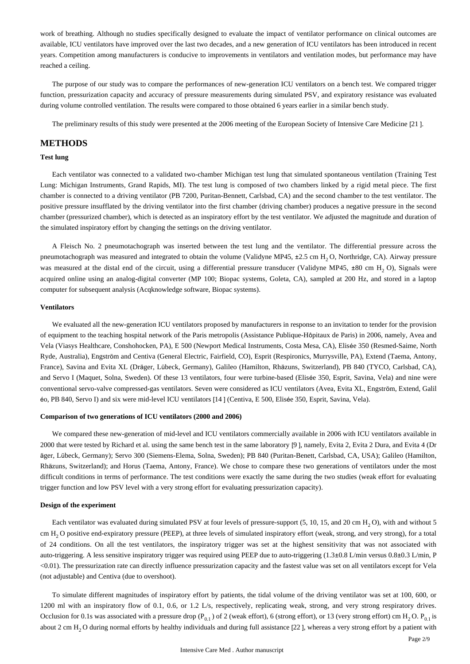work of breathing. Although no studies specifically designed to evaluate the impact of ventilator performance on clinical outcomes are available, ICU ventilators have improved over the last two decades, and a new generation of ICU ventilators has been introduced in recent years. Competition among manufacturers is conducive to improvements in ventilators and ventilation modes, but performance may have reached a ceiling.

The purpose of our study was to compare the performances of new-generation ICU ventilators on a bench test. We compared trigger function, pressurization capacity and accuracy of pressure measurements during simulated PSV, and expiratory resistance was evaluated during volume controlled ventilation. The results were compared to those obtained 6 years earlier in a similar bench study.

The preliminary results of this study were presented at the 2006 meeting of the European Society of Intensive Care Medicine [21 ].

# **METHODS**

#### **Test lung**

Each ventilator was connected to a validated two-chamber Michigan test lung that simulated spontaneous ventilation (Training Test Lung: Michigan Instruments, Grand Rapids, MI). The test lung is composed of two chambers linked by a rigid metal piece. The first chamber is connected to a driving ventilator (PB 7200, Puritan-Bennett, Carlsbad, CA) and the second chamber to the test ventilator. The positive pressure insufflated by the driving ventilator into the first chamber (driving chamber) produces a negative pressure in the second chamber (pressurized chamber), which is detected as an inspiratory effort by the test ventilator. We adjusted the magnitude and duration of the simulated inspiratory effort by changing the settings on the driving ventilator.

A Fleisch No. 2 pneumotachograph was inserted between the test lung and the ventilator. The differential pressure across the pneumotachograph was measured and integrated to obtain the volume (Validyne MP45,  $\pm$ 2.5 cm H<sub>2</sub>O, Northridge, CA). Airway pressure was measured at the distal end of the circuit, using a differential pressure transducer (Validyne MP45, ±80 cm H, O), Signals were acquired online using an analog-digital converter (MP 100; Biopac systems, Goleta, CA), sampled at 200 Hz, and stored in a laptop computer for subsequent analysis (Acqknowledge software, Biopac systems).

## **Ventilators**

We evaluated all the new-generation ICU ventilators proposed by manufacturers in response to an invitation to tender for the provision of equipment to the teaching hospital network of the Paris metropolis (Assistance Publique-Hôpitaux de Paris) in 2006, namely, Avea and Vela (Viasys Healthcare, Conshohocken, PA), E 500 (Newport Medical Instruments, Costa Mesa, CA), Elisée 350 (Resmed-Saime, North Ryde, Australia), Engström and Centiva (General Electric, Fairfield, CO), Esprit (Respironics, Murrysville, PA), Extend (Taema, Antony, France), Savina and Evita XL (Dräger, Lübeck, Germany), Galileo (Hamilton, Rhäzuns, Switzerland), PB 840 (TYCO, Carlsbad, CA), and Servo I (Maquet, Solna, Sweden). Of these 13 ventilators, four were turbine-based (Elisée 350, Esprit, Savina, Vela) and nine were conventional servo-valve compressed-gas ventilators. Seven were considered as ICU ventilators (Avea, Evita XL, Engström, Extend, Galil éo, PB 840, Servo I) and six were mid-level ICU ventilators [14 ] (Centiva, E 500, Elisée 350, Esprit, Savina, Vela).

#### **Comparison of two generations of ICU ventilators (2000 and 2006)**

We compared these new-generation of mid-level and ICU ventilators commercially available in 2006 with ICU ventilators available in 2000 that were tested by Richard et al. using the same bench test in the same laboratory [9 ], namely, Evita 2, Evita 2 Dura, and Evita 4 (Dr äger, Lübeck, Germany); Servo 300 (Siemens-Elema, Solna, Sweden); PB 840 (Puritan-Benett, Carlsbad, CA, USA); Galileo (Hamilton, Rhäzuns, Switzerland); and Horus (Taema, Antony, France). We chose to compare these two generations of ventilators under the most difficult conditions in terms of performance. The test conditions were exactly the same during the two studies (weak effort for evaluating trigger function and low PSV level with a very strong effort for evaluating pressurization capacity).

## **Design of the experiment**

Each ventilator was evaluated during simulated PSV at four levels of pressure-support  $(5, 10, 15, and 20 \text{ cm H}, 0)$ , with and without 5 cm H, O positive end-expiratory pressure (PEEP), at three levels of simulated inspiratory effort (weak, strong, and very strong), for a total of 24 conditions. On all the test ventilators, the inspiratory trigger was set at the highest sensitivity that was not associated with auto-triggering. A less sensitive inspiratory trigger was required using PEEP due to auto-triggering (1.3±0.8 L/min versus 0.8±0.3 L/min, P <0.01). The pressurization rate can directly influence pressurization capacity and the fastest value was set on all ventilators except for Vela (not adjustable) and Centiva (due to overshoot).

To simulate different magnitudes of inspiratory effort by patients, the tidal volume of the driving ventilator was set at 100, 600, or 1200 ml with an inspiratory flow of 0.1, 0.6, or 1.2 L/s, respectively, replicating weak, strong, and very strong respiratory drives. Occlusion for 0.1s was associated with a pressure drop ( $P_{0,1}$ ) of 2 (weak effort), 6 (strong effort), or 13 (very strong effort) cm H<sub>2</sub>O.  $P_{0,1}$  is about 2 cm H<sub>2</sub>O during normal efforts by healthy individuals and during full assistance [22], whereas a very strong effort by a patient with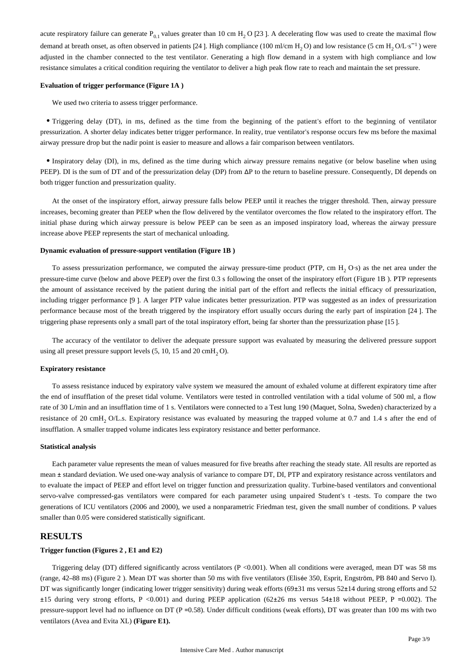acute respiratory failure can generate  $P_{0.1}$  values greater than 10 cm H<sub>2</sub> O [23 ]. A decelerating flow was used to create the maximal flow demand at breath onset, as often observed in patients [24]. High compliance (100 ml/cm  $H_2$ O) and low resistance (5 cm  $H_2$ O/L·s<sup>-1</sup>) were adjusted in the chamber connected to the test ventilator. Generating a high flow demand in a system with high compliance and low resistance simulates a critical condition requiring the ventilator to deliver a high peak flow rate to reach and maintain the set pressure.

#### **Evaluation of trigger performance (Figure 1A )**

We used two criteria to assess trigger performance.

Triggering delay (DT), in ms, defined as the time from the beginning of the patient's effort to the beginning of ventilator pressurization. A shorter delay indicates better trigger performance. In reality, true ventilator's response occurs few ms before the maximal airway pressure drop but the nadir point is easier to measure and allows a fair comparison between ventilators.

Inspiratory delay (DI), in ms, defined as the time during which airway pressure remains negative (or below baseline when using PEEP). DI is the sum of DT and of the pressurization delay (DP) from ΔP to the return to baseline pressure. Consequently, DI depends on both trigger function and pressurization quality.

At the onset of the inspiratory effort, airway pressure falls below PEEP until it reaches the trigger threshold. Then, airway pressure increases, becoming greater than PEEP when the flow delivered by the ventilator overcomes the flow related to the inspiratory effort. The initial phase during which airway pressure is below PEEP can be seen as an imposed inspiratory load, whereas the airway pressure increase above PEEP represents the start of mechanical unloading.

#### **Dynamic evaluation of pressure-support ventilation (Figure 1B )**

To assess pressurization performance, we computed the airway pressure-time product (PTP, cm  $H_2$  O·s) as the net area under the pressure-time curve (below and above PEEP) over the first 0.3 s following the onset of the inspiratory effort (Figure 1B ). PTP represents the amount of assistance received by the patient during the initial part of the effort and reflects the initial efficacy of pressurization, including trigger performance [9 ]. A larger PTP value indicates better pressurization. PTP was suggested as an index of pressurization performance because most of the breath triggered by the inspiratory effort usually occurs during the early part of inspiration [24 ]. The triggering phase represents only a small part of the total inspiratory effort, being far shorter than the pressurization phase [15 ].

The accuracy of the ventilator to deliver the adequate pressure support was evaluated by measuring the delivered pressure support using all preset pressure support levels  $(5, 10, 15, 20, \text{cmH}, 0)$ .

#### **Expiratory resistance**

To assess resistance induced by expiratory valve system we measured the amount of exhaled volume at different expiratory time after the end of insufflation of the preset tidal volume. Ventilators were tested in controlled ventilation with a tidal volume of 500 ml, a flow rate of 30 L/min and an insufflation time of 1 s. Ventilators were connected to a Test lung 190 (Maquet, Solna, Sweden) characterized by a resistance of 20 cmH, O/L.s. Expiratory resistance was evaluated by measuring the trapped volume at 0.7 and 1.4 s after the end of insufflation. A smaller trapped volume indicates less expiratory resistance and better performance.

# **Statistical analysis**

Each parameter value represents the mean of values measured for five breaths after reaching the steady state. All results are reported as mean ± standard deviation. We used one-way analysis of variance to compare DT, DI, PTP and expiratory resistance across ventilators and to evaluate the impact of PEEP and effort level on trigger function and pressurization quality. Turbine-based ventilators and conventional servo-valve compressed-gas ventilators were compared for each parameter using unpaired Student's t -tests. To compare the two generations of ICU ventilators (2006 and 2000), we used a nonparametric Friedman test, given the small number of conditions. P values smaller than 0.05 were considered statistically significant.

# **RESULTS**

# **Trigger function (Figures 2 , E1 and E2)**

Triggering delay (DT) differed significantly across ventilators (P <0.001). When all conditions were averaged, mean DT was 58 ms (range, 42–88 ms) (Figure 2 ). Mean DT was shorter than 50 ms with five ventilators (Elisée 350, Esprit, Engström, PB 840 and Servo I). DT was significantly longer (indicating lower trigger sensitivity) during weak efforts (69±31 ms versus 52±14 during strong efforts and 52 ±15 during very strong efforts, P <0.001) and during PEEP application (62±26 ms versus 54±18 without PEEP, P =0.002). The pressure-support level had no influence on DT (P =0.58). Under difficult conditions (weak efforts), DT was greater than 100 ms with two ventilators (Avea and Evita XL) **(Figure E1).**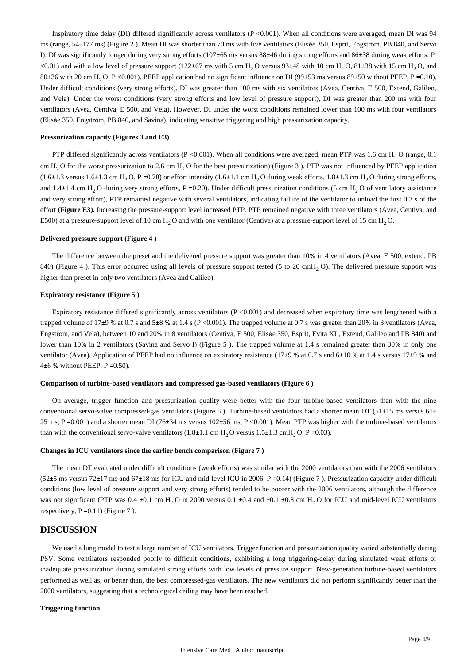Inspiratory time delay (DI) differed significantly across ventilators (P <0.001). When all conditions were averaged, mean DI was 94 ms (range, 54–177 ms) (Figure 2 ). Mean DI was shorter than 70 ms with five ventilators (Elisée 350, Esprit, Engström, PB 840, and Servo I). DI was significantly longer during very strong efforts (107±65 ms versus 88±46 during strong efforts and 86±38 during weak efforts, P  $(0.01)$  and with a low level of pressure support (122 $\pm$ 67 ms with 5 cm H<sub>2</sub>O versus 93 $\pm$ 48 with 10 cm H<sub>2</sub>O, 81 $\pm$ 38 with 15 cm H<sub>2</sub>O, and 80 $\pm$ 36 with 20 cm H<sub>2</sub> O, P <0.001). PEEP application had no significant influence on DI (99 $\pm$ 53 ms versus 89 $\pm$ 50 without PEEP, P =0.10). Under difficult conditions (very strong efforts), DI was greater than 100 ms with six ventilators (Avea, Centiva, E 500, Extend, Galileo, and Vela). Under the worst conditions (very strong efforts and low level of pressure support), DI was greater than 200 ms with four ventilators (Avea, Centiva, E 500, and Vela). However, DI under the worst conditions remained lower than 100 ms with four ventilators (Elisée 350, Engström, PB 840, and Savina), indicating sensitive triggering and high pressurization capacity.

#### **Pressurization capacity (Figures 3 and E3)**

PTP differed significantly across ventilators (P <0.001). When all conditions were averaged, mean PTP was 1.6 cm H<sub>2</sub> O (range, 0.1) cm  $H<sub>2</sub>$  O for the worst pressurization to 2.6 cm  $H<sub>2</sub>$  O for the best pressurization) (Figure 3 ). PTP was not influenced by PEEP application  $(1.6\pm1.3 \text{ versus } 1.6\pm1.3 \text{ cm H}, O, P = 0.78)$  or effort intensity  $(1.6\pm1.1 \text{ cm H}, O$  during weak efforts,  $1.8\pm1.3 \text{ cm H}, O$  during strong efforts, and 1.4 $\pm$ 1.4 cm H<sub>2</sub> O during very strong efforts, P = 0.20). Under difficult pressurization conditions (5 cm H<sub>2</sub> O of ventilatory assistance and very strong effort), PTP remained negative with several ventilators, indicating failure of the ventilator to unload the first 0.3 s of the effort **(Figure E3).** Increasing the pressure-support level increased PTP. PTP remained negative with three ventilators (Avea, Centiva, and E500) at a pressure-support level of 10 cm  $H<sub>2</sub>$  O and with one ventilator (Centiva) at a pressure-support level of 15 cm  $H<sub>2</sub>$  O.

#### **Delivered pressure support (Figure 4 )**

The difference between the preset and the delivered pressure support was greater than 10% in 4 ventilators (Avea, E 500, extend, PB 840) (Figure 4 ). This error occurred using all levels of pressure support tested (5 to 20 cmH, O). The delivered pressure support was higher than preset in only two ventilators (Avea and Galileo).

#### **Expiratory resistance (Figure 5 )**

Expiratory resistance differed significantly across ventilators ( $P < 0.001$ ) and decreased when expiratory time was lengthened with a trapped volume of 17±9 % at 0.7 s and 5±8 % at 1.4 s (P <0.001). The trapped volume at 0.7 s was greater than 20% in 3 ventilators (Avea, Engström, and Vela), between 10 and 20% in 8 ventilators (Centiva, E 500, Elisée 350, Esprit, Evita XL, Extend, Galileo and PB 840) and lower than 10% in 2 ventilators (Savina and Servo I) (Figure 5). The trapped volume at 1.4 s remained greater than 30% in only one ventilator (Avea). Application of PEEP had no influence on expiratory resistance (17±9 % at 0.7 s and 6±10 % at 1.4 s versus 17±9 % and 4 $\pm$ 6 % without PEEP, P = 0.50).

### **Comparison of turbine-based ventilators and compressed gas-based ventilators (Figure 6 )**

On average, trigger function and pressurization quality were better with the four turbine-based ventilators than with the nine conventional servo-valve compressed-gas ventilators (Figure 6 ). Turbine-based ventilators had a shorter mean DT (51±15 ms versus 61± 25 ms, P =0.001) and a shorter mean DI (76±34 ms versus 102±56 ms, P <0.001). Mean PTP was higher with the turbine-based ventilators than with the conventional servo-valve ventilators  $(1.8\pm 1.1 \text{ cm H}_2 \text{O}$  versus  $1.5\pm 1.3 \text{ cmH}_2 \text{O}$ , P =0.03).

#### **Changes in ICU ventilators since the earlier bench comparison (Figure 7 )**

The mean DT evaluated under difficult conditions (weak efforts) was similar with the 2000 ventilators than with the 2006 ventilators  $(52±5 \text{ ms} \text{ versus } 72±17 \text{ ms and } 67±18 \text{ ms}$  for ICU and mid-level ICU in 2006, P =0.14) (Figure 7). Pressurization capacity under difficult conditions (low level of pressure support and very strong efforts) tended to be poorer with the 2006 ventilators, although the difference was not significant (PTP was  $0.4 \pm 0.1$  cm H<sub>2</sub> O in 2000 versus  $0.1 \pm 0.4$  and  $-0.1 \pm 0.8$  cm H<sub>2</sub> O for ICU and mid-level ICU ventilators respectively,  $P = 0.11$ ) (Figure 7).

# **DISCUSSION**

We used a lung model to test a large number of ICU ventilators. Trigger function and pressurization quality varied substantially during PSV. Some ventilators responded poorly to difficult conditions, exhibiting a long triggering-delay during simulated weak efforts or inadequate pressurization during simulated strong efforts with low levels of pressure support. New-generation turbine-based ventilators performed as well as, or better than, the best compressed-gas ventilators. The new ventilators did not perform significantly better than the 2000 ventilators, suggesting that a technological ceiling may have been reached.

# **Triggering function**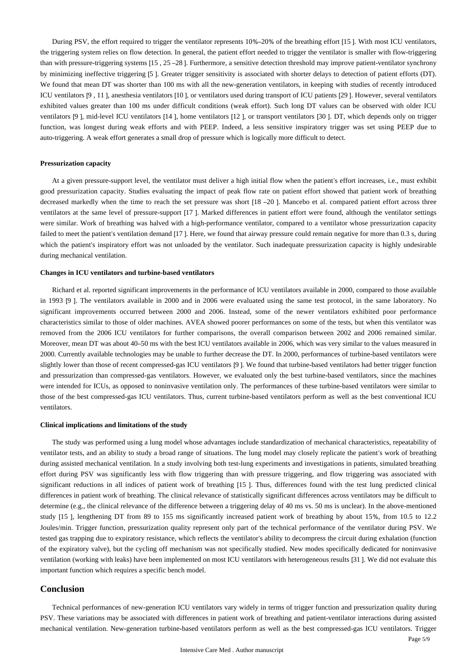During PSV, the effort required to trigger the ventilator represents 10%–20% of the breathing effort [15 ]. With most ICU ventilators, the triggering system relies on flow detection. In general, the patient effort needed to trigger the ventilator is smaller with flow-triggering than with pressure-triggering systems [15 , 25 –28 ]. Furthermore, a sensitive detection threshold may improve patient-ventilator synchrony by minimizing ineffective triggering [5 ]. Greater trigger sensitivity is associated with shorter delays to detection of patient efforts (DT). We found that mean DT was shorter than 100 ms with all the new-generation ventilators, in keeping with studies of recently introduced ICU ventilators [9 , 11 ], anesthesia ventilators [10 ], or ventilators used during transport of ICU patients [29 ]. However, several ventilators exhibited values greater than 100 ms under difficult conditions (weak effort). Such long DT values can be observed with older ICU ventilators [9 ], mid-level ICU ventilators [14 ], home ventilators [12 ], or transport ventilators [30 ]. DT, which depends only on trigger function, was longest during weak efforts and with PEEP. Indeed, a less sensitive inspiratory trigger was set using PEEP due to auto-triggering. A weak effort generates a small drop of pressure which is logically more difficult to detect.

#### **Pressurization capacity**

At a given pressure-support level, the ventilator must deliver a high initial flow when the patient's effort increases, i.e., must exhibit good pressurization capacity. Studies evaluating the impact of peak flow rate on patient effort showed that patient work of breathing decreased markedly when the time to reach the set pressure was short [18 –20 ]. Mancebo et al. compared patient effort across three ventilators at the same level of pressure-support [17 ]. Marked differences in patient effort were found, although the ventilator settings were similar. Work of breathing was halved with a high-performance ventilator, compared to a ventilator whose pressurization capacity failed to meet the patient's ventilation demand [17]. Here, we found that airway pressure could remain negative for more than 0.3 s, during which the patient's inspiratory effort was not unloaded by the ventilator. Such inadequate pressurization capacity is highly undesirable during mechanical ventilation.

#### **Changes in ICU ventilators and turbine-based ventilators**

Richard et al. reported significant improvements in the performance of ICU ventilators available in 2000, compared to those available in 1993 [9 ]. The ventilators available in 2000 and in 2006 were evaluated using the same test protocol, in the same laboratory. No significant improvements occurred between 2000 and 2006. Instead, some of the newer ventilators exhibited poor performance characteristics similar to those of older machines. AVEA showed poorer performances on some of the tests, but when this ventilator was removed from the 2006 ICU ventilators for further comparisons, the overall comparison between 2002 and 2006 remained similar. Moreover, mean DT was about 40–50 ms with the best ICU ventilators available in 2006, which was very similar to the values measured in 2000. Currently available technologies may be unable to further decrease the DT. In 2000, performances of turbine-based ventilators were slightly lower than those of recent compressed-gas ICU ventilators [9 ]. We found that turbine-based ventilators had better trigger function and pressurization than compressed-gas ventilators. However, we evaluated only the best turbine-based ventilators, since the machines were intended for ICUs, as opposed to noninvasive ventilation only. The performances of these turbine-based ventilators were similar to those of the best compressed-gas ICU ventilators. Thus, current turbine-based ventilators perform as well as the best conventional ICU ventilators.

#### **Clinical implications and limitations of the study**

The study was performed using a lung model whose advantages include standardization of mechanical characteristics, repeatability of ventilator tests, and an ability to study a broad range of situations. The lung model may closely replicate the patient's work of breathing during assisted mechanical ventilation. In a study involving both test-lung experiments and investigations in patients, simulated breathing effort during PSV was significantly less with flow triggering than with pressure triggering, and flow triggering was associated with significant reductions in all indices of patient work of breathing [15 ]. Thus, differences found with the test lung predicted clinical differences in patient work of breathing. The clinical relevance of statistically significant differences across ventilators may be difficult to determine (e.g., the clinical relevance of the difference between a triggering delay of 40 ms vs. 50 ms is unclear). In the above-mentioned study [15 ], lengthening DT from 89 to 155 ms significantly increased patient work of breathing by about 15%, from 10.5 to 12.2 Joules/min. Trigger function, pressurization quality represent only part of the technical performance of the ventilator during PSV. We tested gas trapping due to expiratory resistance, which reflects the ventilator's ability to decompress the circuit during exhalation (function of the expiratory valve), but the cycling off mechanism was not specifically studied. New modes specifically dedicated for noninvasive ventilation (working with leaks) have been implemented on most ICU ventilators with heterogeneous results [31 ]. We did not evaluate this important function which requires a specific bench model.

# **Conclusion**

Technical performances of new-generation ICU ventilators vary widely in terms of trigger function and pressurization quality during PSV. These variations may be associated with differences in patient work of breathing and patient-ventilator interactions during assisted mechanical ventilation. New-generation turbine-based ventilators perform as well as the best compressed-gas ICU ventilators. Trigger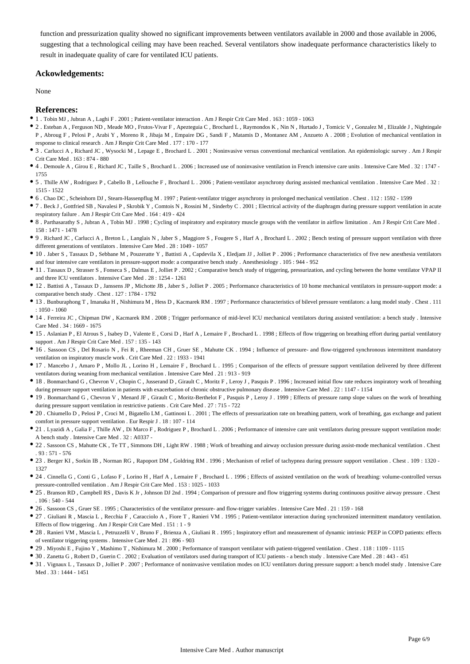function and pressurization quality showed no significant improvements between ventilators available in 2000 and those available in 2006, suggesting that a technological ceiling may have been reached. Several ventilators show inadequate performance characteristics likely to result in inadequate quality of care for ventilated ICU patients.

# **Ackowledgements:**

None

## **References:**

- 1 . Tobin MJ , Jubran A , Laghi F . 2001 ; Patient-ventilator interaction . Am J Respir Crit Care Med . 163 : 1059 1063
- 2 . Esteban A , Ferguson ND , Meade MO , Frutos-Vivar F , Apezteguia C , Brochard L , Raymondos K , Nin N , Hurtado J , Tomicic V , Gonzalez M , Elizalde J , Nightingale P , Abroug F , Pelosi P , Arabi Y , Moreno R , Jibaja M , Empaire DG , Sandi F , Matamis D , Montanez AM , Anzueto A . 2008 ; Evolution of mechanical ventilation in response to clinical research . Am J Respir Crit Care Med . 177 : 170 - 177
- 3 . Carlucci A , Richard JC , Wysocki M , Lepage E , Brochard L . 2001 ; Noninvasive versus conventional mechanical ventilation. An epidemiologic survey . Am J Respir Crit Care Med . 163 : 874 - 880
- 4 . Demoule A , Girou E , Richard JC , Taille S , Brochard L . 2006 ; Increased use of noninvasive ventilation in French intensive care units . Intensive Care Med . 32 : 1747 1755
- 5 . Thille AW , Rodriguez P , Cabello B , Lellouche F , Brochard L . 2006 ; Patient-ventilator asynchrony during assisted mechanical ventilation . Intensive Care Med . 32 : 1515 - 1522
- 6 . Chao DC , Scheinhorn DJ , Stearn-Hassenpflug M . 1997 ; Patient-ventilator trigger asynchrony in prolonged mechanical ventilation . Chest . 112 : 1592 1599
- 7 . Beck J , Gottfried SB , Navalesi P , Skrobik Y , Comtois N , Rossini M , Sinderby C . 2001 ; Electrical activity of the diaphragm during pressure support ventilation in acute respiratory failure . Am J Respir Crit Care Med . 164 : 419 - 424
- 8 . Parthasarathy S , Jubran A , Tobin MJ . 1998 ; Cycling of inspiratory and expiratory muscle groups with the ventilator in airflow limitation . Am J Respir Crit Care Med . 158 : 1471 - 1478
- 9 . Richard JC , Carlucci A , Breton L , Langlais N , Jaber S , Maggiore S , Fougere S , Harf A , Brochard L . 2002 ; Bench testing of pressure support ventilation with three different generations of ventilators . Intensive Care Med . 28 : 1049 - 1057
- 10 . Jaber S , Tassaux D , Sebbane M , Pouzeratte Y , Battisti A , Capdevila X , Eledjam JJ , Jolliet P . 2006 ; Performance characteristics of five new anesthesia ventilators and four intensive care ventilators in pressure-support mode: a comparative bench study . Anesthesiology . 105 : 944 - 952
- 11 . Tassaux D , Strasser S , Fonseca S , Dalmas E , Jolliet P . 2002 ; Comparative bench study of triggering, pressurization, and cycling between the home ventilator VPAP II and three ICU ventilators . Intensive Care Med . 28 : 1254 - 1261
- 12 . Battisti A , Tassaux D , Janssens JP , Michotte JB , Jaber S , Jolliet P . 2005 ; Performance characteristics of 10 home mechanical ventilators in pressure-support mode: a comparative bench study . Chest . 127 : 1784 - 1792
- 13 . Bunburaphong T , Imanaka H , Nishimura M , Hess D , Kacmarek RM . 1997 ; Performance characteristics of bilevel pressure ventilators: a lung model study . Chest . 111  $.1050 - 1060$
- 14 . Ferreira JC , Chipman DW , Kacmarek RM . 2008 ; Trigger performance of mid-level ICU mechanical ventilators during assisted ventilation: a bench study . Intensive Care Med . 34 : 1669 - 1675
- 15 . Aslanian P , El Atrous S , Isabey D , Valente E , Corsi D , Harf A , Lemaire F , Brochard L . 1998 ; Effects of flow triggering on breathing effort during partial ventilatory support . Am J Respir Crit Care Med . 157 : 135 - 143
- 16 . Sassoon CS , Del Rosario N , Fei R , Rheeman CH , Gruer SE , Mahutte CK . 1994 ; Influence of pressure- and flow-triggered synchronous intermittent mandatory ventilation on inspiratory muscle work . Crit Care Med . 22 : 1933 - 1941
- 17 . Mancebo J , Amaro P , Mollo JL , Lorino H , Lemaire F , Brochard L . 1995 ; Comparison of the effects of pressure support ventilation delivered by three different ventilators during weaning from mechanical ventilation . Intensive Care Med . 21 : 913 - 919
- 18 . Bonmarchand G , Chevron V , Chopin C , Jusserand D , Girault C , Moritz F , Leroy J , Pasquis P . 1996 ; Increased initial flow rate reduces inspiratory work of breathing during pressure support ventilation in patients with exacerbation of chronic obstructive pulmonary disease . Intensive Care Med . 22 : 1147 - 1154
- 19 . Bonmarchand G , Chevron V , Menard JF , Girault C , Moritz-Berthelot F , Pasquis P , Leroy J . 1999 ; Effects of pressure ramp slope values on the work of breathing during pressure support ventilation in restrictive patients . Crit Care Med . 27 : 715 - 722
- 20. Chiumello D, Pelosi P, Croci M, Bigatello LM, Gattinoni L. 2001; The effects of pressurization rate on breathing pattern, work of breathing, gas exchange and patient comfort in pressure support ventilation . Eur Respir J . 18 : 107 - 114
- 21 . Lyazidi A, Galia F, Thille AW, Di Marco F, Rodriguez P, Brochard L . 2006; Performance of intensive care unit ventilators during pressure support ventilation mode: A bench study . Intensive Care Med . 32 : A0337 -
- 22 . Sassoon CS , Mahutte CK , Te TT , Simmons DH , Light RW . 1988 ; Work of breathing and airway occlusion pressure during assist-mode mechanical ventilation . Chest . 93 : 571 - 576
- 23 . Berger KI , Sorkin IB , Norman RG , Rapoport DM , Goldring RM . 1996 ; Mechanism of relief of tachypnea during pressure support ventilation . Chest . 109 : 1320 1327
- 24 . Cinnella G , Conti G , Lofaso F , Lorino H , Harf A , Lemaire F , Brochard L . 1996 ; Effects of assisted ventilation on the work of breathing: volume-controlled versus pressure-controlled ventilation . Am J Respir Crit Care Med . 153 : 1025 - 1033
- 25 . Branson RD, Campbell RS, Davis K Jr, Johnson DJ 2nd . 1994; Comparison of pressure and flow triggering systems during continuous positive airway pressure . Chest  $106 \cdot 540 - 544$
- 26 . Sassoon CS , Gruer SE . 1995 ; Characteristics of the ventilator pressure- and flow-trigger variables . Intensive Care Med . 21 : 159 168
- 27 . Giuliani R , Mascia L , Recchia F , Caracciolo A , Fiore T , Ranieri VM . 1995 ; Patient-ventilator interaction during synchronized intermittent mandatory ventilation. Effects of flow triggering . Am J Respir Crit Care Med . 151 : 1 - 9
- 28 . Ranieri VM , Mascia L , Petruzzelli V , Bruno F , Brienza A , Giuliani R . 1995 ; Inspiratory effort and measurement of dynamic intrinsic PEEP in COPD patients: effects of ventilator triggering systems . Intensive Care Med . 21 : 896 - 903
- 29 . Miyoshi E , Fujino Y , Mashimo T , Nishimura M . 2000 ; Performance of transport ventilator with patient-triggered ventilation . Chest . 118 : 1109 1115
- 30 . Zanetta G , Robert D , Guerin C . 2002 ; Evaluation of ventilators used during transport of ICU patients a bench study . Intensive Care Med . 28 : 443 451
- 31 . Vignaux L , Tassaux D , Jolliet P . 2007 ; Performance of noninvasive ventilation modes on ICU ventilators during pressure support: a bench model study . Intensive Care Med 33 · 1444 - 1451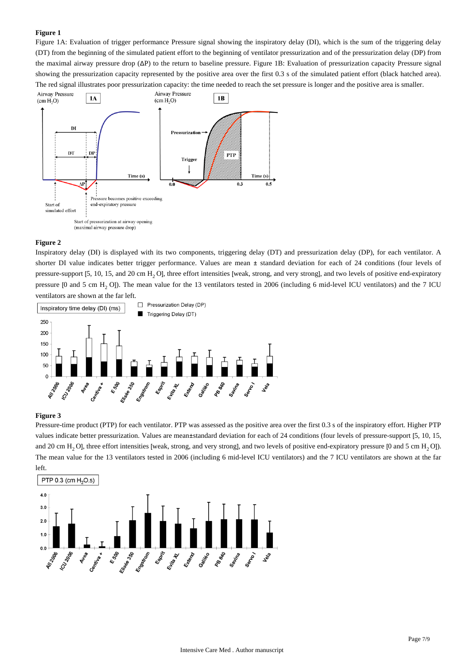## **Figure 1**

Figure 1A: Evaluation of trigger performance Pressure signal showing the inspiratory delay (DI), which is the sum of the triggering delay (DT) from the beginning of the simulated patient effort to the beginning of ventilator pressurization and of the pressurization delay (DP) from the maximal airway pressure drop (ΔP) to the return to baseline pressure. Figure 1B: Evaluation of pressurization capacity Pressure signal showing the pressurization capacity represented by the positive area over the first 0.3 s of the simulated patient effort (black hatched area). The red signal illustrates poor pressurization capacity: the time needed to reach the set pressure is longer and the positive area is smaller.



### **Figure 2**

Inspiratory delay (DI) is displayed with its two components, triggering delay (DT) and pressurization delay (DP), for each ventilator. A shorter DI value indicates better trigger performance. Values are mean ± standard deviation for each of 24 conditions (four levels of pressure-support [5, 10, 15, and 20 cm H<sub>2</sub>O], three effort intensities [weak, strong, and very strong], and two levels of positive end-expiratory pressure [0 and 5 cm H<sub>2</sub> O]). The mean value for the 13 ventilators tested in 2006 (including 6 mid-level ICU ventilators) and the 7 ICU ventilators are shown at the far left.



#### **Figure 3**

Pressure-time product (PTP) for each ventilator. PTP was assessed as the positive area over the first 0.3 s of the inspiratory effort. Higher PTP values indicate better pressurization. Values are mean±standard deviation for each of 24 conditions (four levels of pressure-support [5, 10, 15, and 20 cm H<sub>2</sub>O], three effort intensities [weak, strong, and very strong], and two levels of positive end-expiratory pressure [0 and 5 cm H<sub>2</sub>O]). The mean value for the 13 ventilators tested in 2006 (including 6 mid-level ICU ventilators) and the 7 ICU ventilators are shown at the far left.